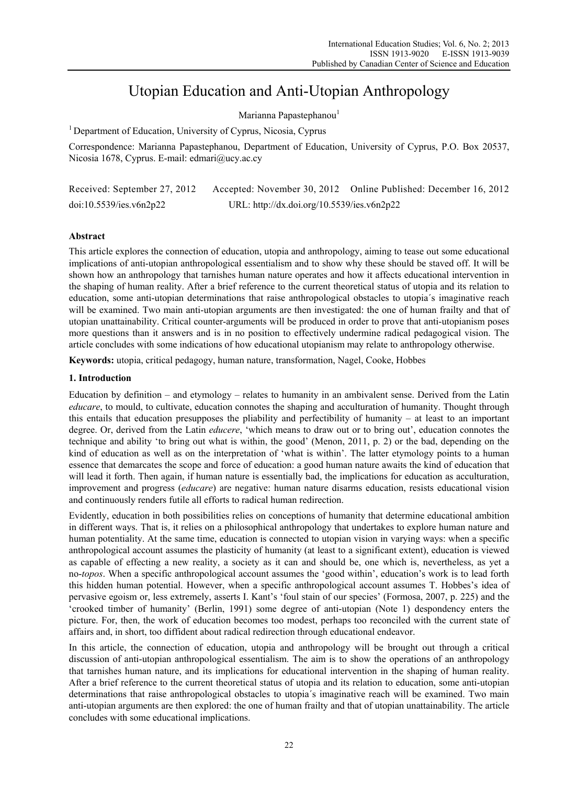# Utopian Education and Anti-Utopian Anthropology

Marianna Papastephanou<sup>1</sup>

<sup>1</sup> Department of Education, University of Cyprus, Nicosia, Cyprus

Correspondence: Marianna Papastephanou, Department of Education, University of Cyprus, P.O. Box 20537, Nicosia 1678, Cyprus. E-mail: edmari@ucy.ac.cy

| Received: September 27, 2012 |                                            | Accepted: November 30, 2012 Online Published: December 16, 2012 |
|------------------------------|--------------------------------------------|-----------------------------------------------------------------|
| doi:10.5539/ies.v6n2p22      | URL: http://dx.doi.org/10.5539/ies.v6n2p22 |                                                                 |

# **Abstract**

This article explores the connection of education, utopia and anthropology, aiming to tease out some educational implications of anti-utopian anthropological essentialism and to show why these should be staved off. It will be shown how an anthropology that tarnishes human nature operates and how it affects educational intervention in the shaping of human reality. After a brief reference to the current theoretical status of utopia and its relation to education, some anti-utopian determinations that raise anthropological obstacles to utopia´s imaginative reach will be examined. Two main anti-utopian arguments are then investigated: the one of human frailty and that of utopian unattainability. Critical counter-arguments will be produced in order to prove that anti-utopianism poses more questions than it answers and is in no position to effectively undermine radical pedagogical vision. The article concludes with some indications of how educational utopianism may relate to anthropology otherwise.

**Keywords:** utopia, critical pedagogy, human nature, transformation, Nagel, Cooke, Hobbes

# **1. Introduction**

Education by definition – and etymology – relates to humanity in an ambivalent sense. Derived from the Latin *educare*, to mould, to cultivate, education connotes the shaping and acculturation of humanity. Thought through this entails that education presupposes the pliability and perfectibility of humanity – at least to an important degree. Or, derived from the Latin *educere*, 'which means to draw out or to bring out', education connotes the technique and ability 'to bring out what is within, the good' (Menon, 2011, p. 2) or the bad, depending on the kind of education as well as on the interpretation of 'what is within'. The latter etymology points to a human essence that demarcates the scope and force of education: a good human nature awaits the kind of education that will lead it forth. Then again, if human nature is essentially bad, the implications for education as acculturation, improvement and progress (*educare*) are negative: human nature disarms education, resists educational vision and continuously renders futile all efforts to radical human redirection.

Evidently, education in both possibilities relies on conceptions of humanity that determine educational ambition in different ways. That is, it relies on a philosophical anthropology that undertakes to explore human nature and human potentiality. At the same time, education is connected to utopian vision in varying ways: when a specific anthropological account assumes the plasticity of humanity (at least to a significant extent), education is viewed as capable of effecting a new reality, a society as it can and should be, one which is, nevertheless, as yet a no-*topos*. When a specific anthropological account assumes the 'good within', education's work is to lead forth this hidden human potential. However, when a specific anthropological account assumes T. Hobbes's idea of pervasive egoism or, less extremely, asserts I. Kant's 'foul stain of our species' (Formosa, 2007, p. 225) and the 'crooked timber of humanity' (Berlin, 1991) some degree of anti-utopian (Note 1) despondency enters the picture. For, then, the work of education becomes too modest, perhaps too reconciled with the current state of affairs and, in short, too diffident about radical redirection through educational endeavor.

In this article, the connection of education, utopia and anthropology will be brought out through a critical discussion of anti-utopian anthropological essentialism. The aim is to show the operations of an anthropology that tarnishes human nature, and its implications for educational intervention in the shaping of human reality. After a brief reference to the current theoretical status of utopia and its relation to education, some anti-utopian determinations that raise anthropological obstacles to utopia´s imaginative reach will be examined. Two main anti-utopian arguments are then explored: the one of human frailty and that of utopian unattainability. The article concludes with some educational implications.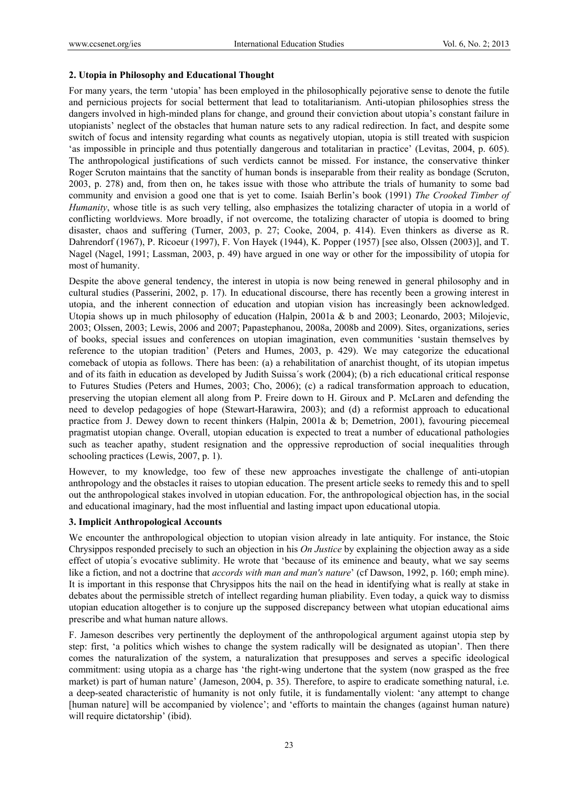### **2. Utopia in Philosophy and Educational Thought**

For many years, the term 'utopia' has been employed in the philosophically pejorative sense to denote the futile and pernicious projects for social betterment that lead to totalitarianism. Anti-utopian philosophies stress the dangers involved in high-minded plans for change, and ground their conviction about utopia's constant failure in utopianists' neglect of the obstacles that human nature sets to any radical redirection. In fact, and despite some switch of focus and intensity regarding what counts as negatively utopian, utopia is still treated with suspicion 'as impossible in principle and thus potentially dangerous and totalitarian in practice' (Levitas, 2004, p. 605). The anthropological justifications of such verdicts cannot be missed. For instance, the conservative thinker Roger Scruton maintains that the sanctity of human bonds is inseparable from their reality as bondage (Scruton, 2003, p. 278) and, from then on, he takes issue with those who attribute the trials of humanity to some bad community and envision a good one that is yet to come. Isaiah Berlin's book (1991) *The Crooked Timber of Humanity*, whose title is as such very telling, also emphasizes the totalizing character of utopia in a world of conflicting worldviews. More broadly, if not overcome, the totalizing character of utopia is doomed to bring disaster, chaos and suffering (Turner, 2003, p. 27; Cooke, 2004, p. 414). Even thinkers as diverse as R. Dahrendorf (1967), P. Ricoeur (1997), F. Von Hayek (1944), K. Popper (1957) [see also, Olssen (2003)], and T. Nagel (Nagel, 1991; Lassman, 2003, p. 49) have argued in one way or other for the impossibility of utopia for most of humanity.

Despite the above general tendency, the interest in utopia is now being renewed in general philosophy and in cultural studies (Passerini, 2002, p. 17). In educational discourse, there has recently been a growing interest in utopia, and the inherent connection of education and utopian vision has increasingly been acknowledged. Utopia shows up in much philosophy of education (Halpin, 2001a & b and 2003; Leonardo, 2003; Milojevic, 2003; Olssen, 2003; Lewis, 2006 and 2007; Papastephanou, 2008a, 2008b and 2009). Sites, organizations, series of books, special issues and conferences on utopian imagination, even communities 'sustain themselves by reference to the utopian tradition' (Peters and Humes, 2003, p. 429). We may categorize the educational comeback of utopia as follows. There has been: (a) a rehabilitation of anarchist thought, of its utopian impetus and of its faith in education as developed by Judith Suissa´s work (2004); (b) a rich educational critical response to Futures Studies (Peters and Humes, 2003; Cho, 2006); (c) a radical transformation approach to education, preserving the utopian element all along from P. Freire down to H. Giroux and P. McLaren and defending the need to develop pedagogies of hope (Stewart-Harawira, 2003); and (d) a reformist approach to educational practice from J. Dewey down to recent thinkers (Halpin, 2001a & b; Demetrion, 2001), favouring piecemeal pragmatist utopian change. Overall, utopian education is expected to treat a number of educational pathologies such as teacher apathy, student resignation and the oppressive reproduction of social inequalities through schooling practices (Lewis, 2007, p. 1).

However, to my knowledge, too few of these new approaches investigate the challenge of anti-utopian anthropology and the obstacles it raises to utopian education. The present article seeks to remedy this and to spell out the anthropological stakes involved in utopian education. For, the anthropological objection has, in the social and educational imaginary, had the most influential and lasting impact upon educational utopia.

#### **3. Implicit Anthropological Accounts**

We encounter the anthropological objection to utopian vision already in late antiquity. For instance, the Stoic Chrysippos responded precisely to such an objection in his *On Justice* by explaining the objection away as a side effect of utopia´s evocative sublimity. He wrote that 'because of its eminence and beauty, what we say seems like a fiction, and not a doctrine that *accords with man and man's nature*' (cf Dawson, 1992, p. 160; emph mine). It is important in this response that Chrysippos hits the nail on the head in identifying what is really at stake in debates about the permissible stretch of intellect regarding human pliability. Even today, a quick way to dismiss utopian education altogether is to conjure up the supposed discrepancy between what utopian educational aims prescribe and what human nature allows.

F. Jameson describes very pertinently the deployment of the anthropological argument against utopia step by step: first, 'a politics which wishes to change the system radically will be designated as utopian'. Then there comes the naturalization of the system, a naturalization that presupposes and serves a specific ideological commitment: using utopia as a charge has 'the right-wing undertone that the system (now grasped as the free market) is part of human nature' (Jameson, 2004, p. 35). Therefore, to aspire to eradicate something natural, i.e. a deep-seated characteristic of humanity is not only futile, it is fundamentally violent: 'any attempt to change [human nature] will be accompanied by violence'; and 'efforts to maintain the changes (against human nature) will require dictatorship' (ibid).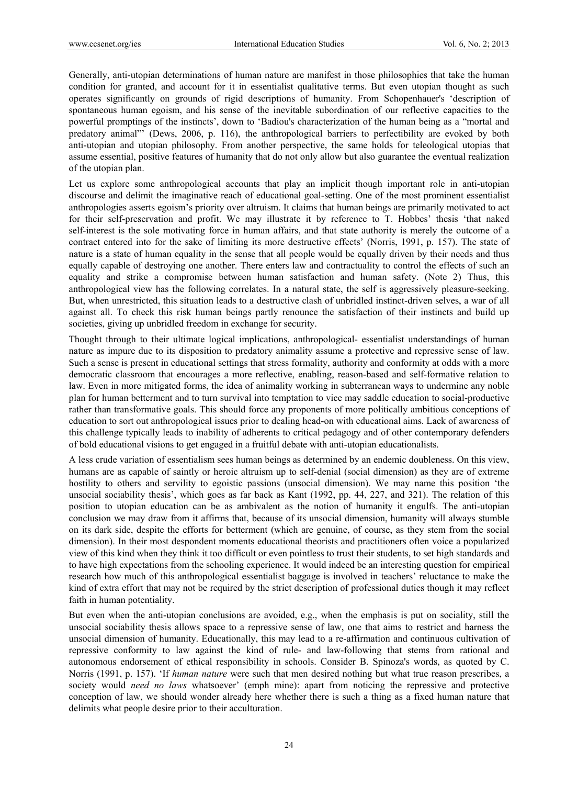Generally, anti-utopian determinations of human nature are manifest in those philosophies that take the human condition for granted, and account for it in essentialist qualitative terms. But even utopian thought as such operates significantly on grounds of rigid descriptions of humanity. From Schopenhauer's 'description of spontaneous human egoism, and his sense of the inevitable subordination of our reflective capacities to the powerful promptings of the instincts', down to 'Badiou's characterization of the human being as a "mortal and predatory animal"' (Dews, 2006, p. 116), the anthropological barriers to perfectibility are evoked by both anti-utopian and utopian philosophy. From another perspective, the same holds for teleological utopias that assume essential, positive features of humanity that do not only allow but also guarantee the eventual realization of the utopian plan.

Let us explore some anthropological accounts that play an implicit though important role in anti-utopian discourse and delimit the imaginative reach of educational goal-setting. One of the most prominent essentialist anthropologies asserts egoism's priority over altruism. It claims that human beings are primarily motivated to act for their self-preservation and profit. We may illustrate it by reference to T. Hobbes' thesis 'that naked self-interest is the sole motivating force in human affairs, and that state authority is merely the outcome of a contract entered into for the sake of limiting its more destructive effects' (Norris, 1991, p. 157). The state of nature is a state of human equality in the sense that all people would be equally driven by their needs and thus equally capable of destroying one another. There enters law and contractuality to control the effects of such an equality and strike a compromise between human satisfaction and human safety. (Note 2) Thus, this anthropological view has the following correlates. In a natural state, the self is aggressively pleasure-seeking. But, when unrestricted, this situation leads to a destructive clash of unbridled instinct-driven selves, a war of all against all. To check this risk human beings partly renounce the satisfaction of their instincts and build up societies, giving up unbridled freedom in exchange for security.

Thought through to their ultimate logical implications, anthropological- essentialist understandings of human nature as impure due to its disposition to predatory animality assume a protective and repressive sense of law. Such a sense is present in educational settings that stress formality, authority and conformity at odds with a more democratic classroom that encourages a more reflective, enabling, reason-based and self-formative relation to law. Even in more mitigated forms, the idea of animality working in subterranean ways to undermine any noble plan for human betterment and to turn survival into temptation to vice may saddle education to social-productive rather than transformative goals. This should force any proponents of more politically ambitious conceptions of education to sort out anthropological issues prior to dealing head-on with educational aims. Lack of awareness of this challenge typically leads to inability of adherents to critical pedagogy and of other contemporary defenders of bold educational visions to get engaged in a fruitful debate with anti-utopian educationalists.

A less crude variation of essentialism sees human beings as determined by an endemic doubleness. On this view, humans are as capable of saintly or heroic altruism up to self-denial (social dimension) as they are of extreme hostility to others and servility to egoistic passions (unsocial dimension). We may name this position 'the unsocial sociability thesis', which goes as far back as Kant (1992, pp. 44, 227, and 321). The relation of this position to utopian education can be as ambivalent as the notion of humanity it engulfs. The anti-utopian conclusion we may draw from it affirms that, because of its unsocial dimension, humanity will always stumble on its dark side, despite the efforts for betterment (which are genuine, of course, as they stem from the social dimension). In their most despondent moments educational theorists and practitioners often voice a popularized view of this kind when they think it too difficult or even pointless to trust their students, to set high standards and to have high expectations from the schooling experience. It would indeed be an interesting question for empirical research how much of this anthropological essentialist baggage is involved in teachers' reluctance to make the kind of extra effort that may not be required by the strict description of professional duties though it may reflect faith in human potentiality.

But even when the anti-utopian conclusions are avoided, e.g., when the emphasis is put on sociality, still the unsocial sociability thesis allows space to a repressive sense of law, one that aims to restrict and harness the unsocial dimension of humanity. Educationally, this may lead to a re-affirmation and continuous cultivation of repressive conformity to law against the kind of rule- and law-following that stems from rational and autonomous endorsement of ethical responsibility in schools. Consider B. Spinoza's words, as quoted by C. Norris (1991, p. 157). 'If *human nature* were such that men desired nothing but what true reason prescribes, a society would *need no laws* whatsoever' (emph mine): apart from noticing the repressive and protective conception of law, we should wonder already here whether there is such a thing as a fixed human nature that delimits what people desire prior to their acculturation.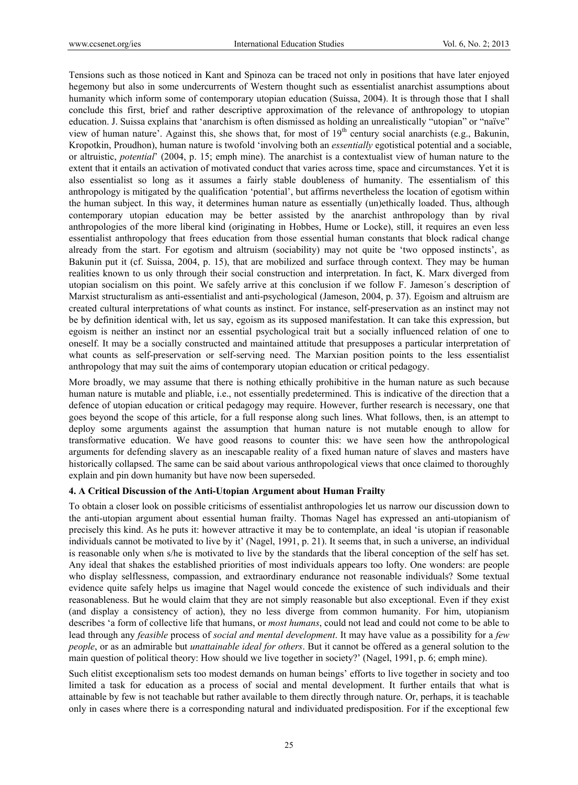Tensions such as those noticed in Kant and Spinoza can be traced not only in positions that have later enjoyed hegemony but also in some undercurrents of Western thought such as essentialist anarchist assumptions about humanity which inform some of contemporary utopian education (Suissa, 2004). It is through those that I shall conclude this first, brief and rather descriptive approximation of the relevance of anthropology to utopian education. J. Suissa explains that 'anarchism is often dismissed as holding an unrealistically "utopian" or "naïve" view of human nature'. Against this, she shows that, for most of  $19<sup>th</sup>$  century social anarchists (e.g., Bakunin, Kropotkin, Proudhon), human nature is twofold 'involving both an *essentially* egotistical potential and a sociable, or altruistic, *potential*' (2004, p. 15; emph mine). The anarchist is a contextualist view of human nature to the extent that it entails an activation of motivated conduct that varies across time, space and circumstances. Yet it is also essentialist so long as it assumes a fairly stable doubleness of humanity. The essentialism of this anthropology is mitigated by the qualification 'potential', but affirms nevertheless the location of egotism within the human subject. In this way, it determines human nature as essentially (un)ethically loaded. Thus, although contemporary utopian education may be better assisted by the anarchist anthropology than by rival anthropologies of the more liberal kind (originating in Hobbes, Hume or Locke), still, it requires an even less essentialist anthropology that frees education from those essential human constants that block radical change already from the start. For egotism and altruism (sociability) may not quite be 'two opposed instincts', as Bakunin put it (cf. Suissa, 2004, p. 15), that are mobilized and surface through context. They may be human realities known to us only through their social construction and interpretation. In fact, K. Marx diverged from utopian socialism on this point. We safely arrive at this conclusion if we follow F. Jameson´s description of Marxist structuralism as anti-essentialist and anti-psychological (Jameson, 2004, p. 37). Egoism and altruism are created cultural interpretations of what counts as instinct. For instance, self-preservation as an instinct may not be by definition identical with, let us say, egoism as its supposed manifestation. It can take this expression, but egoism is neither an instinct nor an essential psychological trait but a socially influenced relation of one to oneself. It may be a socially constructed and maintained attitude that presupposes a particular interpretation of what counts as self-preservation or self-serving need. The Marxian position points to the less essentialist anthropology that may suit the aims of contemporary utopian education or critical pedagogy.

More broadly, we may assume that there is nothing ethically prohibitive in the human nature as such because human nature is mutable and pliable, i.e., not essentially predetermined. This is indicative of the direction that a defence of utopian education or critical pedagogy may require. However, further research is necessary, one that goes beyond the scope of this article, for a full response along such lines. What follows, then, is an attempt to deploy some arguments against the assumption that human nature is not mutable enough to allow for transformative education. We have good reasons to counter this: we have seen how the anthropological arguments for defending slavery as an inescapable reality of a fixed human nature of slaves and masters have historically collapsed. The same can be said about various anthropological views that once claimed to thoroughly explain and pin down humanity but have now been superseded.

#### **4. A Critical Discussion of the Anti-Utopian Argument about Human Frailty**

To obtain a closer look on possible criticisms of essentialist anthropologies let us narrow our discussion down to the anti-utopian argument about essential human frailty. Thomas Nagel has expressed an anti-utopianism of precisely this kind. As he puts it: however attractive it may be to contemplate, an ideal 'is utopian if reasonable individuals cannot be motivated to live by it' (Nagel, 1991, p. 21). It seems that, in such a universe, an individual is reasonable only when s/he is motivated to live by the standards that the liberal conception of the self has set. Any ideal that shakes the established priorities of most individuals appears too lofty. One wonders: are people who display selflessness, compassion, and extraordinary endurance not reasonable individuals? Some textual evidence quite safely helps us imagine that Nagel would concede the existence of such individuals and their reasonableness. But he would claim that they are not simply reasonable but also exceptional. Even if they exist (and display a consistency of action), they no less diverge from common humanity. For him, utopianism describes 'a form of collective life that humans, or *most humans*, could not lead and could not come to be able to lead through any *feasible* process of *social and mental development*. It may have value as a possibility for a *few people*, or as an admirable but *unattainable ideal for others*. But it cannot be offered as a general solution to the main question of political theory: How should we live together in society?' (Nagel, 1991, p. 6; emph mine).

Such elitist exceptionalism sets too modest demands on human beings' efforts to live together in society and too limited a task for education as a process of social and mental development. It further entails that what is attainable by few is not teachable but rather available to them directly through nature. Or, perhaps, it is teachable only in cases where there is a corresponding natural and individuated predisposition. For if the exceptional few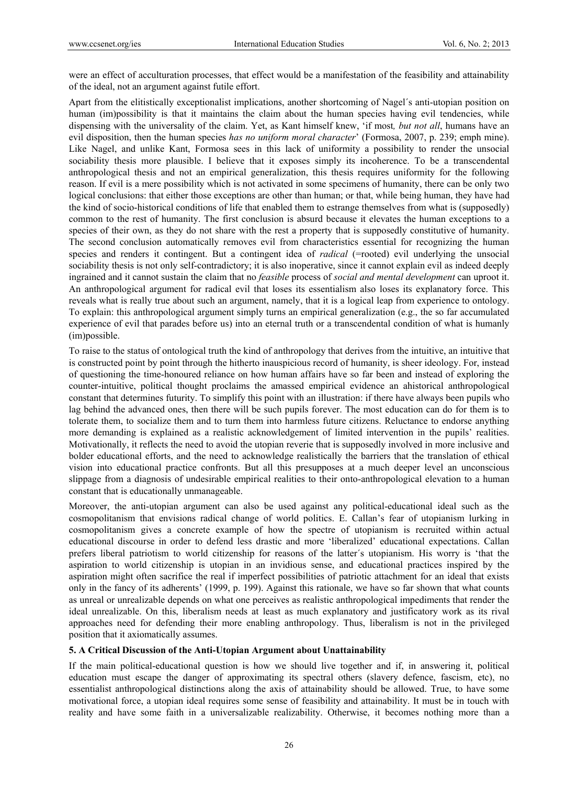were an effect of acculturation processes, that effect would be a manifestation of the feasibility and attainability of the ideal, not an argument against futile effort.

Apart from the elitistically exceptionalist implications, another shortcoming of Nagel´s anti-utopian position on human (im)possibility is that it maintains the claim about the human species having evil tendencies, while dispensing with the universality of the claim. Yet, as Kant himself knew, 'if most*, but not all*, humans have an evil disposition, then the human species *has no uniform moral character*' (Formosa, 2007, p. 239; emph mine). Like Nagel, and unlike Kant, Formosa sees in this lack of uniformity a possibility to render the unsocial sociability thesis more plausible. I believe that it exposes simply its incoherence. To be a transcendental anthropological thesis and not an empirical generalization, this thesis requires uniformity for the following reason. If evil is a mere possibility which is not activated in some specimens of humanity, there can be only two logical conclusions: that either those exceptions are other than human; or that, while being human, they have had the kind of socio-historical conditions of life that enabled them to estrange themselves from what is (supposedly) common to the rest of humanity. The first conclusion is absurd because it elevates the human exceptions to a species of their own, as they do not share with the rest a property that is supposedly constitutive of humanity. The second conclusion automatically removes evil from characteristics essential for recognizing the human species and renders it contingent. But a contingent idea of *radical* (=rooted) evil underlying the unsocial sociability thesis is not only self-contradictory; it is also inoperative, since it cannot explain evil as indeed deeply ingrained and it cannot sustain the claim that no *feasible* process of *social and mental development* can uproot it. An anthropological argument for radical evil that loses its essentialism also loses its explanatory force. This reveals what is really true about such an argument, namely, that it is a logical leap from experience to ontology. To explain: this anthropological argument simply turns an empirical generalization (e.g., the so far accumulated experience of evil that parades before us) into an eternal truth or a transcendental condition of what is humanly (im)possible.

To raise to the status of ontological truth the kind of anthropology that derives from the intuitive, an intuitive that is constructed point by point through the hitherto inauspicious record of humanity, is sheer ideology. For, instead of questioning the time-honoured reliance on how human affairs have so far been and instead of exploring the counter-intuitive, political thought proclaims the amassed empirical evidence an ahistorical anthropological constant that determines futurity. To simplify this point with an illustration: if there have always been pupils who lag behind the advanced ones, then there will be such pupils forever. The most education can do for them is to tolerate them, to socialize them and to turn them into harmless future citizens. Reluctance to endorse anything more demanding is explained as a realistic acknowledgement of limited intervention in the pupils' realities. Motivationally, it reflects the need to avoid the utopian reverie that is supposedly involved in more inclusive and bolder educational efforts, and the need to acknowledge realistically the barriers that the translation of ethical vision into educational practice confronts. But all this presupposes at a much deeper level an unconscious slippage from a diagnosis of undesirable empirical realities to their onto-anthropological elevation to a human constant that is educationally unmanageable.

Moreover, the anti-utopian argument can also be used against any political-educational ideal such as the cosmopolitanism that envisions radical change of world politics. E. Callan's fear of utopianism lurking in cosmopolitanism gives a concrete example of how the spectre of utopianism is recruited within actual educational discourse in order to defend less drastic and more 'liberalized' educational expectations. Callan prefers liberal patriotism to world citizenship for reasons of the latter´s utopianism. His worry is 'that the aspiration to world citizenship is utopian in an invidious sense, and educational practices inspired by the aspiration might often sacrifice the real if imperfect possibilities of patriotic attachment for an ideal that exists only in the fancy of its adherents' (1999, p. 199). Against this rationale, we have so far shown that what counts as unreal or unrealizable depends on what one perceives as realistic anthropological impediments that render the ideal unrealizable. On this, liberalism needs at least as much explanatory and justificatory work as its rival approaches need for defending their more enabling anthropology. Thus, liberalism is not in the privileged position that it axiomatically assumes.

#### **5. A Critical Discussion of the Anti-Utopian Argument about Unattainability**

If the main political-educational question is how we should live together and if, in answering it, political education must escape the danger of approximating its spectral others (slavery defence, fascism, etc), no essentialist anthropological distinctions along the axis of attainability should be allowed. True, to have some motivational force, a utopian ideal requires some sense of feasibility and attainability. It must be in touch with reality and have some faith in a universalizable realizability. Otherwise, it becomes nothing more than a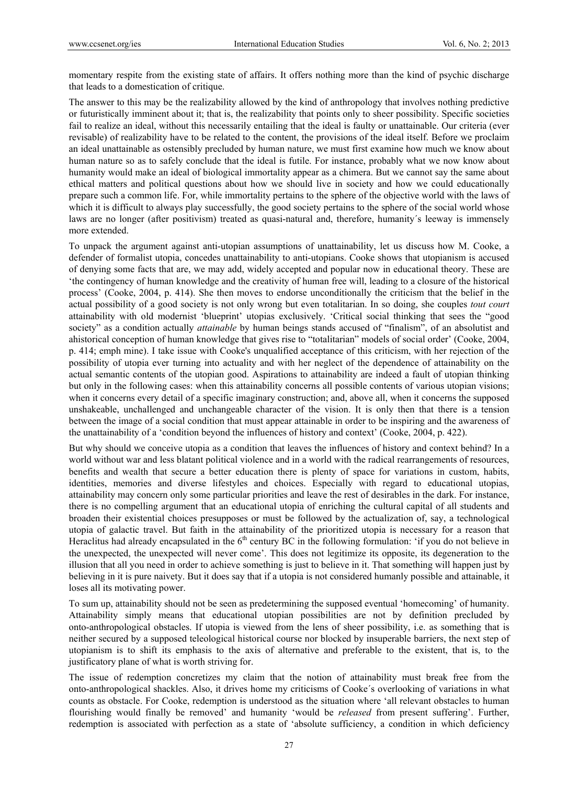momentary respite from the existing state of affairs. It offers nothing more than the kind of psychic discharge that leads to a domestication of critique.

The answer to this may be the realizability allowed by the kind of anthropology that involves nothing predictive or futuristically imminent about it; that is, the realizability that points only to sheer possibility. Specific societies fail to realize an ideal, without this necessarily entailing that the ideal is faulty or unattainable. Our criteria (ever revisable) of realizability have to be related to the content, the provisions of the ideal itself. Before we proclaim an ideal unattainable as ostensibly precluded by human nature, we must first examine how much we know about human nature so as to safely conclude that the ideal is futile. For instance, probably what we now know about humanity would make an ideal of biological immortality appear as a chimera. But we cannot say the same about ethical matters and political questions about how we should live in society and how we could educationally prepare such a common life. For, while immortality pertains to the sphere of the objective world with the laws of which it is difficult to always play successfully, the good society pertains to the sphere of the social world whose laws are no longer (after positivism) treated as quasi-natural and, therefore, humanity´s leeway is immensely more extended.

To unpack the argument against anti-utopian assumptions of unattainability, let us discuss how M. Cooke, a defender of formalist utopia, concedes unattainability to anti-utopians. Cooke shows that utopianism is accused of denying some facts that are, we may add, widely accepted and popular now in educational theory. These are 'the contingency of human knowledge and the creativity of human free will, leading to a closure of the historical process' (Cooke, 2004, p. 414). She then moves to endorse unconditionally the criticism that the belief in the actual possibility of a good society is not only wrong but even totalitarian. In so doing, she couples *tout court* attainability with old modernist 'blueprint' utopias exclusively. 'Critical social thinking that sees the "good society" as a condition actually *attainable* by human beings stands accused of "finalism", of an absolutist and ahistorical conception of human knowledge that gives rise to "totalitarian" models of social order' (Cooke, 2004, p. 414; emph mine). I take issue with Cooke's unqualified acceptance of this criticism, with her rejection of the possibility of utopia ever turning into actuality and with her neglect of the dependence of attainability on the actual semantic contents of the utopian good. Aspirations to attainability are indeed a fault of utopian thinking but only in the following cases: when this attainability concerns all possible contents of various utopian visions; when it concerns every detail of a specific imaginary construction; and, above all, when it concerns the supposed unshakeable, unchallenged and unchangeable character of the vision. It is only then that there is a tension between the image of a social condition that must appear attainable in order to be inspiring and the awareness of the unattainability of a 'condition beyond the influences of history and context' (Cooke, 2004, p. 422).

But why should we conceive utopia as a condition that leaves the influences of history and context behind? In a world without war and less blatant political violence and in a world with the radical rearrangements of resources, benefits and wealth that secure a better education there is plenty of space for variations in custom, habits, identities, memories and diverse lifestyles and choices. Especially with regard to educational utopias, attainability may concern only some particular priorities and leave the rest of desirables in the dark. For instance, there is no compelling argument that an educational utopia of enriching the cultural capital of all students and broaden their existential choices presupposes or must be followed by the actualization of, say, a technological utopia of galactic travel. But faith in the attainability of the prioritized utopia is necessary for a reason that Heraclitus had already encapsulated in the 6<sup>th</sup> century BC in the following formulation: 'if you do not believe in the unexpected, the unexpected will never come'. This does not legitimize its opposite, its degeneration to the illusion that all you need in order to achieve something is just to believe in it. That something will happen just by believing in it is pure naivety. But it does say that if a utopia is not considered humanly possible and attainable, it loses all its motivating power.

To sum up, attainability should not be seen as predetermining the supposed eventual 'homecoming' of humanity. Attainability simply means that educational utopian possibilities are not by definition precluded by onto-anthropological obstacles. If utopia is viewed from the lens of sheer possibility, i.e. as something that is neither secured by a supposed teleological historical course nor blocked by insuperable barriers, the next step of utopianism is to shift its emphasis to the axis of alternative and preferable to the existent, that is, to the justificatory plane of what is worth striving for.

The issue of redemption concretizes my claim that the notion of attainability must break free from the onto-anthropological shackles. Also, it drives home my criticisms of Cooke´s overlooking of variations in what counts as obstacle. For Cooke, redemption is understood as the situation where 'all relevant obstacles to human flourishing would finally be removed' and humanity 'would be *released* from present suffering'. Further, redemption is associated with perfection as a state of 'absolute sufficiency, a condition in which deficiency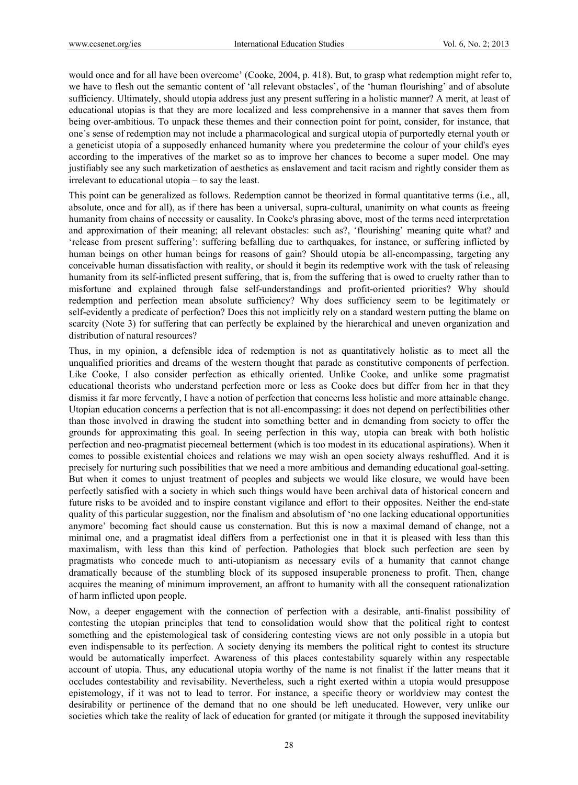would once and for all have been overcome' (Cooke, 2004, p. 418). But, to grasp what redemption might refer to, we have to flesh out the semantic content of 'all relevant obstacles', of the 'human flourishing' and of absolute sufficiency. Ultimately, should utopia address just any present suffering in a holistic manner? A merit, at least of educational utopias is that they are more localized and less comprehensive in a manner that saves them from being over-ambitious. To unpack these themes and their connection point for point, consider, for instance, that one´s sense of redemption may not include a pharmacological and surgical utopia of purportedly eternal youth or a geneticist utopia of a supposedly enhanced humanity where you predetermine the colour of your child's eyes according to the imperatives of the market so as to improve her chances to become a super model. One may justifiably see any such marketization of aesthetics as enslavement and tacit racism and rightly consider them as irrelevant to educational utopia – to say the least.

This point can be generalized as follows. Redemption cannot be theorized in formal quantitative terms (i.e., all, absolute, once and for all), as if there has been a universal, supra-cultural, unanimity on what counts as freeing humanity from chains of necessity or causality. In Cooke's phrasing above, most of the terms need interpretation and approximation of their meaning; all relevant obstacles: such as?, 'flourishing' meaning quite what? and 'release from present suffering': suffering befalling due to earthquakes, for instance, or suffering inflicted by human beings on other human beings for reasons of gain? Should utopia be all-encompassing, targeting any conceivable human dissatisfaction with reality, or should it begin its redemptive work with the task of releasing humanity from its self-inflicted present suffering, that is, from the suffering that is owed to cruelty rather than to misfortune and explained through false self-understandings and profit-oriented priorities? Why should redemption and perfection mean absolute sufficiency? Why does sufficiency seem to be legitimately or self-evidently a predicate of perfection? Does this not implicitly rely on a standard western putting the blame on scarcity (Note 3) for suffering that can perfectly be explained by the hierarchical and uneven organization and distribution of natural resources?

Thus, in my opinion, a defensible idea of redemption is not as quantitatively holistic as to meet all the unqualified priorities and dreams of the western thought that parade as constitutive components of perfection. Like Cooke, I also consider perfection as ethically oriented. Unlike Cooke, and unlike some pragmatist educational theorists who understand perfection more or less as Cooke does but differ from her in that they dismiss it far more fervently, I have a notion of perfection that concerns less holistic and more attainable change. Utopian education concerns a perfection that is not all-encompassing: it does not depend on perfectibilities other than those involved in drawing the student into something better and in demanding from society to offer the grounds for approximating this goal. In seeing perfection in this way, utopia can break with both holistic perfection and neo-pragmatist piecemeal betterment (which is too modest in its educational aspirations). When it comes to possible existential choices and relations we may wish an open society always reshuffled. And it is precisely for nurturing such possibilities that we need a more ambitious and demanding educational goal-setting. But when it comes to unjust treatment of peoples and subjects we would like closure, we would have been perfectly satisfied with a society in which such things would have been archival data of historical concern and future risks to be avoided and to inspire constant vigilance and effort to their opposites. Neither the end-state quality of this particular suggestion, nor the finalism and absolutism of 'no one lacking educational opportunities anymore' becoming fact should cause us consternation. But this is now a maximal demand of change, not a minimal one, and a pragmatist ideal differs from a perfectionist one in that it is pleased with less than this maximalism, with less than this kind of perfection. Pathologies that block such perfection are seen by pragmatists who concede much to anti-utopianism as necessary evils of a humanity that cannot change dramatically because of the stumbling block of its supposed insuperable proneness to profit. Then, change acquires the meaning of minimum improvement, an affront to humanity with all the consequent rationalization of harm inflicted upon people.

Now, a deeper engagement with the connection of perfection with a desirable, anti-finalist possibility of contesting the utopian principles that tend to consolidation would show that the political right to contest something and the epistemological task of considering contesting views are not only possible in a utopia but even indispensable to its perfection. A society denying its members the political right to contest its structure would be automatically imperfect. Awareness of this places contestability squarely within any respectable account of utopia. Thus, any educational utopia worthy of the name is not finalist if the latter means that it occludes contestability and revisability. Nevertheless, such a right exerted within a utopia would presuppose epistemology, if it was not to lead to terror. For instance, a specific theory or worldview may contest the desirability or pertinence of the demand that no one should be left uneducated. However, very unlike our societies which take the reality of lack of education for granted (or mitigate it through the supposed inevitability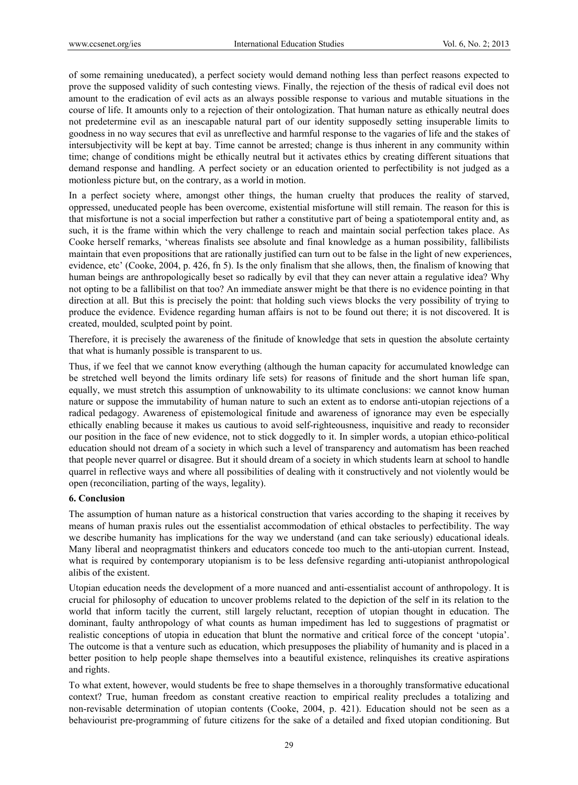of some remaining uneducated), a perfect society would demand nothing less than perfect reasons expected to prove the supposed validity of such contesting views. Finally, the rejection of the thesis of radical evil does not amount to the eradication of evil acts as an always possible response to various and mutable situations in the course of life. It amounts only to a rejection of their ontologization. That human nature as ethically neutral does not predetermine evil as an inescapable natural part of our identity supposedly setting insuperable limits to goodness in no way secures that evil as unreflective and harmful response to the vagaries of life and the stakes of intersubjectivity will be kept at bay. Time cannot be arrested; change is thus inherent in any community within time; change of conditions might be ethically neutral but it activates ethics by creating different situations that demand response and handling. A perfect society or an education oriented to perfectibility is not judged as a motionless picture but, on the contrary, as a world in motion.

In a perfect society where, amongst other things, the human cruelty that produces the reality of starved, oppressed, uneducated people has been overcome, existential misfortune will still remain. The reason for this is that misfortune is not a social imperfection but rather a constitutive part of being a spatiotemporal entity and, as such, it is the frame within which the very challenge to reach and maintain social perfection takes place. As Cooke herself remarks, 'whereas finalists see absolute and final knowledge as a human possibility, fallibilists maintain that even propositions that are rationally justified can turn out to be false in the light of new experiences, evidence, etc' (Cooke, 2004, p. 426, fn 5). Is the only finalism that she allows, then, the finalism of knowing that human beings are anthropologically beset so radically by evil that they can never attain a regulative idea? Why not opting to be a fallibilist on that too? An immediate answer might be that there is no evidence pointing in that direction at all. But this is precisely the point: that holding such views blocks the very possibility of trying to produce the evidence. Evidence regarding human affairs is not to be found out there; it is not discovered. It is created, moulded, sculpted point by point.

Therefore, it is precisely the awareness of the finitude of knowledge that sets in question the absolute certainty that what is humanly possible is transparent to us.

Thus, if we feel that we cannot know everything (although the human capacity for accumulated knowledge can be stretched well beyond the limits ordinary life sets) for reasons of finitude and the short human life span, equally, we must stretch this assumption of unknowability to its ultimate conclusions: we cannot know human nature or suppose the immutability of human nature to such an extent as to endorse anti-utopian rejections of a radical pedagogy. Awareness of epistemological finitude and awareness of ignorance may even be especially ethically enabling because it makes us cautious to avoid self-righteousness, inquisitive and ready to reconsider our position in the face of new evidence, not to stick doggedly to it. In simpler words, a utopian ethico-political education should not dream of a society in which such a level of transparency and automatism has been reached that people never quarrel or disagree. But it should dream of a society in which students learn at school to handle quarrel in reflective ways and where all possibilities of dealing with it constructively and not violently would be open (reconciliation, parting of the ways, legality).

#### **6. Conclusion**

The assumption of human nature as a historical construction that varies according to the shaping it receives by means of human praxis rules out the essentialist accommodation of ethical obstacles to perfectibility. The way we describe humanity has implications for the way we understand (and can take seriously) educational ideals. Many liberal and neopragmatist thinkers and educators concede too much to the anti-utopian current. Instead, what is required by contemporary utopianism is to be less defensive regarding anti-utopianist anthropological alibis of the existent.

Utopian education needs the development of a more nuanced and anti-essentialist account of anthropology. It is crucial for philosophy of education to uncover problems related to the depiction of the self in its relation to the world that inform tacitly the current, still largely reluctant, reception of utopian thought in education. The dominant, faulty anthropology of what counts as human impediment has led to suggestions of pragmatist or realistic conceptions of utopia in education that blunt the normative and critical force of the concept 'utopia'. The outcome is that a venture such as education, which presupposes the pliability of humanity and is placed in a better position to help people shape themselves into a beautiful existence, relinquishes its creative aspirations and rights.

To what extent, however, would students be free to shape themselves in a thoroughly transformative educational context? True, human freedom as constant creative reaction to empirical reality precludes a totalizing and non-revisable determination of utopian contents (Cooke, 2004, p. 421). Education should not be seen as a behaviourist pre-programming of future citizens for the sake of a detailed and fixed utopian conditioning. But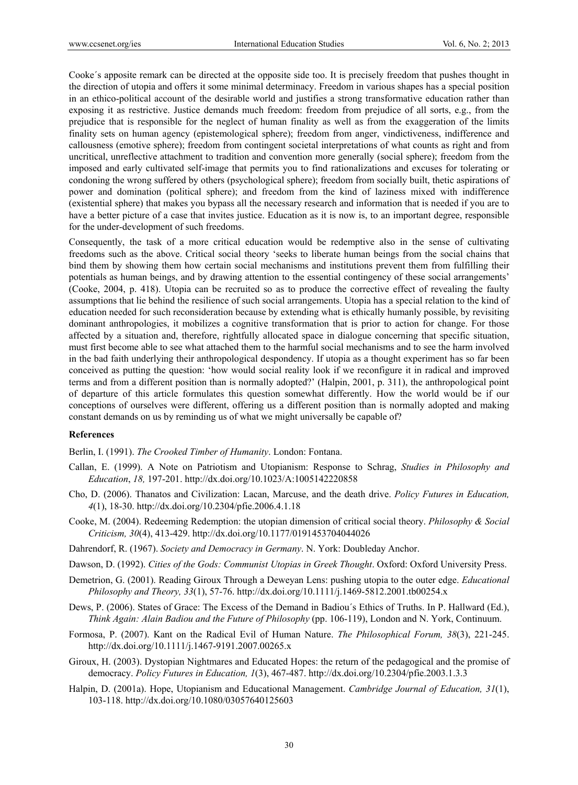Cooke´s apposite remark can be directed at the opposite side too. It is precisely freedom that pushes thought in the direction of utopia and offers it some minimal determinacy. Freedom in various shapes has a special position in an ethico-political account of the desirable world and justifies a strong transformative education rather than exposing it as restrictive. Justice demands much freedom: freedom from prejudice of all sorts, e.g., from the prejudice that is responsible for the neglect of human finality as well as from the exaggeration of the limits finality sets on human agency (epistemological sphere); freedom from anger, vindictiveness, indifference and callousness (emotive sphere); freedom from contingent societal interpretations of what counts as right and from uncritical, unreflective attachment to tradition and convention more generally (social sphere); freedom from the imposed and early cultivated self-image that permits you to find rationalizations and excuses for tolerating or condoning the wrong suffered by others (psychological sphere); freedom from socially built, thetic aspirations of power and domination (political sphere); and freedom from the kind of laziness mixed with indifference (existential sphere) that makes you bypass all the necessary research and information that is needed if you are to have a better picture of a case that invites justice. Education as it is now is, to an important degree, responsible for the under-development of such freedoms.

Consequently, the task of a more critical education would be redemptive also in the sense of cultivating freedoms such as the above. Critical social theory 'seeks to liberate human beings from the social chains that bind them by showing them how certain social mechanisms and institutions prevent them from fulfilling their potentials as human beings, and by drawing attention to the essential contingency of these social arrangements' (Cooke, 2004, p. 418). Utopia can be recruited so as to produce the corrective effect of revealing the faulty assumptions that lie behind the resilience of such social arrangements. Utopia has a special relation to the kind of education needed for such reconsideration because by extending what is ethically humanly possible, by revisiting dominant anthropologies, it mobilizes a cognitive transformation that is prior to action for change. For those affected by a situation and, therefore, rightfully allocated space in dialogue concerning that specific situation, must first become able to see what attached them to the harmful social mechanisms and to see the harm involved in the bad faith underlying their anthropological despondency. If utopia as a thought experiment has so far been conceived as putting the question: 'how would social reality look if we reconfigure it in radical and improved terms and from a different position than is normally adopted?' (Halpin, 2001, p. 311), the anthropological point of departure of this article formulates this question somewhat differently. How the world would be if our conceptions of ourselves were different, offering us a different position than is normally adopted and making constant demands on us by reminding us of what we might universally be capable of?

#### **References**

Berlin, I. (1991). *The Crooked Timber of Humanity*. London: Fontana.

- Callan, E. (1999). A Note on Patriotism and Utopianism: Response to Schrag, *Studies in Philosophy and Education*, *18,* 197-201. http://dx.doi.org/10.1023/A:1005142220858
- Cho, D. (2006). Thanatos and Civilization: Lacan, Marcuse, and the death drive. *Policy Futures in Education, 4*(1), 18-30. http://dx.doi.org/10.2304/pfie.2006.4.1.18
- Cooke, M. (2004). Redeeming Redemption: the utopian dimension of critical social theory. *Philosophy & Social Criticism, 30*(4), 413-429. http://dx.doi.org/10.1177/0191453704044026
- Dahrendorf, R. (1967). *Society and Democracy in Germany*. N. York: Doubleday Anchor.
- Dawson, D. (1992). *Cities of the Gods: Communist Utopias in Greek Thought*. Oxford: Oxford University Press.
- Demetrion, G. (2001). Reading Giroux Through a Deweyan Lens: pushing utopia to the outer edge. *Educational Philosophy and Theory, 33*(1), 57-76. http://dx.doi.org/10.1111/j.1469-5812.2001.tb00254.x
- Dews, P. (2006). States of Grace: The Excess of the Demand in Badiou´s Ethics of Truths. In P. Hallward (Ed.), *Think Again: Alain Badiou and the Future of Philosophy* (pp. 106-119), London and N. York, Continuum.
- Formosa, P. (2007). Kant on the Radical Evil of Human Nature. *The Philosophical Forum, 38*(3), 221-245. http://dx.doi.org/10.1111/j.1467-9191.2007.00265.x
- Giroux, H. (2003). Dystopian Nightmares and Educated Hopes: the return of the pedagogical and the promise of democracy. *Policy Futures in Education, 1*(3), 467-487. http://dx.doi.org/10.2304/pfie.2003.1.3.3
- Halpin, D. (2001a). Hope, Utopianism and Educational Management. *Cambridge Journal of Education, 31*(1), 103-118. http://dx.doi.org/10.1080/03057640125603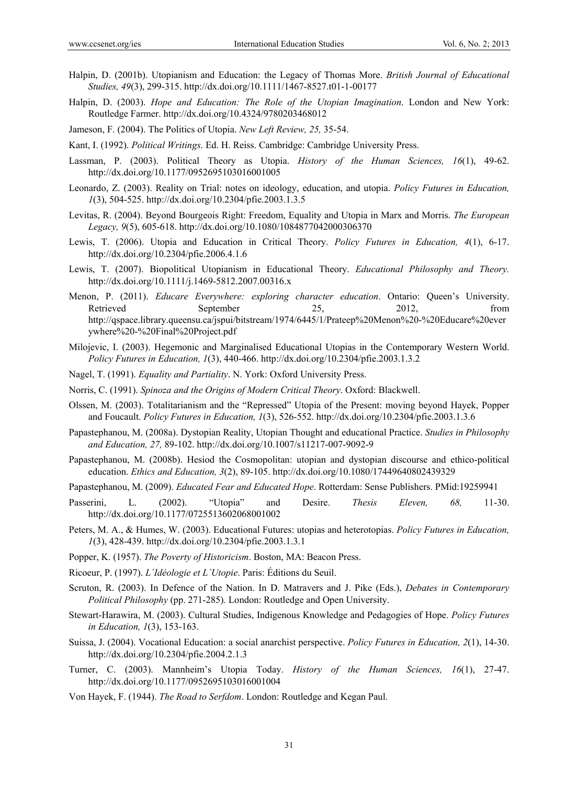- Halpin, D. (2001b). Utopianism and Education: the Legacy of Thomas More. *British Journal of Educational Studies, 49*(3), 299-315. http://dx.doi.org/10.1111/1467-8527.t01-1-00177
- Halpin, D. (2003). *Hope and Education: The Role of the Utopian Imagination*. London and New York: Routledge Farmer. http://dx.doi.org/10.4324/9780203468012
- Jameson, F. (2004). The Politics of Utopia. *New Left Review, 25,* 35-54.
- Kant, I. (1992). *Political Writings*. Ed. H. Reiss. Cambridge: Cambridge University Press.
- Lassman, P. (2003). Political Theory as Utopia. *History of the Human Sciences, 16*(1), 49-62. http://dx.doi.org/10.1177/0952695103016001005
- Leonardo, Z. (2003). Reality on Trial: notes on ideology, education, and utopia. *Policy Futures in Education, 1*(3), 504-525. http://dx.doi.org/10.2304/pfie.2003.1.3.5
- Levitas, R. (2004). Beyond Bourgeois Right: Freedom, Equality and Utopia in Marx and Morris. *The European Legacy, 9*(5), 605-618. http://dx.doi.org/10.1080/1084877042000306370
- Lewis, T. (2006). Utopia and Education in Critical Theory. *Policy Futures in Education, 4*(1), 6-17. http://dx.doi.org/10.2304/pfie.2006.4.1.6
- Lewis, T. (2007). Biopolitical Utopianism in Educational Theory. *Educational Philosophy and Theory.* http://dx.doi.org/10.1111/j.1469-5812.2007.00316.x
- Menon, P. (2011). *Educare Everywhere: exploring character education*. Ontario: Queen's University. Retrieved September 25, 2012, from http://qspace.library.queensu.ca/jspui/bitstream/1974/6445/1/Prateep%20Menon%20-%20Educare%20ever ywhere%20-%20Final%20Project.pdf
- Milojevic, I. (2003). Hegemonic and Marginalised Educational Utopias in the Contemporary Western World. *Policy Futures in Education, 1*(3), 440-466. http://dx.doi.org/10.2304/pfie.2003.1.3.2
- Nagel, T. (1991). *Equality and Partiality*. N. York: Oxford University Press.
- Norris, C. (1991). *Spinoza and the Origins of Modern Critical Theory*. Oxford: Blackwell.
- Olssen, M. (2003). Totalitarianism and the "Repressed" Utopia of the Present: moving beyond Hayek, Popper and Foucault. *Policy Futures in Education, 1*(3), 526-552. http://dx.doi.org/10.2304/pfie.2003.1.3.6
- Papastephanou, M. (2008a). Dystopian Reality, Utopian Thought and educational Practice. *Studies in Philosophy and Education, 27,* 89-102. http://dx.doi.org/10.1007/s11217-007-9092-9
- Papastephanou, M. (2008b). Hesiod the Cosmopolitan: utopian and dystopian discourse and ethico-political education. *Ethics and Education, 3*(2), 89-105. http://dx.doi.org/10.1080/17449640802439329
- Papastephanou, M. (2009). *Educated Fear and Educated Hope*. Rotterdam: Sense Publishers. PMid:19259941
- Passerini, L. (2002). "Utopia" and Desire. *Thesis Eleven, 68,* 11-30. http://dx.doi.org/10.1177/0725513602068001002
- Peters, M. A., & Humes, W. (2003). Educational Futures: utopias and heterotopias. *Policy Futures in Education, 1*(3), 428-439. http://dx.doi.org/10.2304/pfie.2003.1.3.1
- Popper, K. (1957). *The Poverty of Historicism*. Boston, MA: Beacon Press.
- Ricoeur, P. (1997). *L´Idéologie et L´Utopie*. Paris: Éditions du Seuil.
- Scruton, R. (2003). In Defence of the Nation. In D. Matravers and J. Pike (Eds.), *Debates in Contemporary Political Philosophy* (pp. 271-285)*.* London: Routledge and Open University.
- Stewart-Harawira, M. (2003). Cultural Studies, Indigenous Knowledge and Pedagogies of Hope. *Policy Futures in Education, 1*(3), 153-163.
- Suissa, J. (2004). Vocational Education: a social anarchist perspective. *Policy Futures in Education, 2*(1), 14-30. http://dx.doi.org/10.2304/pfie.2004.2.1.3
- Turner, C. (2003). Mannheim's Utopia Today. *History of the Human Sciences, 16*(1), 27-47. http://dx.doi.org/10.1177/0952695103016001004
- Von Hayek, F. (1944). *The Road to Serfdom*. London: Routledge and Kegan Paul.